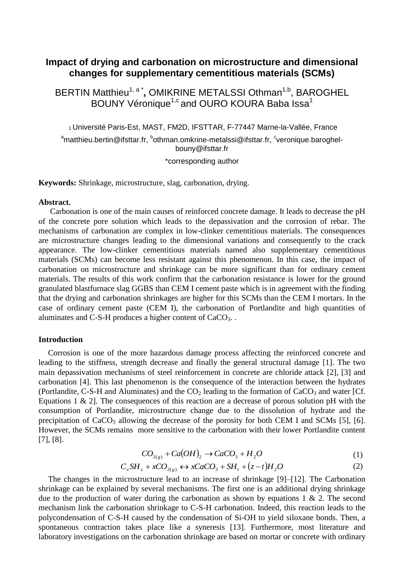# **Impact of drying and carbonation on microstructure and dimensional changes for supplementary cementitious materials (SCMs)**

BERTIN Matthieu<sup>1, a\*</sup>, OMIKRINE METALSSI Othman<sup>1,b</sup>, BAROGHEL BOUNY Véronique $^{1,c}$ and OURO KOURA Baba Issa $^1$ 

<sup>1</sup>Université Paris-Est, MAST, FM2D, IFSTTAR, F-77447 Marne-la-Vallée, France <sup>a</sup>matthieu.bertin@ifsttar.fr, <sup>b</sup>othman.omkrine-metalssi@ifsttar.fr, <sup>c</sup>veronique.baroghelbouny@ifsttar.fr

\*corresponding author

**Keywords:** Shrinkage, microstructure, slag, carbonation, drying.

### **Abstract.**

Carbonation is one of the main causes of reinforced concrete damage. It leads to decrease the pH of the concrete pore solution which leads to the depassivation and the corrosion of rebar. The mechanisms of carbonation are complex in low-clinker cementitious materials. The consequences are microstructure changes leading to the dimensional variations and consequently to the crack appearance. The low-clinker cementitious materials named also supplementary cementitious materials (SCMs) can become less resistant against this phenomenon. In this case, the impact of carbonation on microstructure and shrinkage can be more significant than for ordinary cement materials. The results of this work confirm that the carbonation resistance is lower for the ground granulated blastfurnace slag GGBS than CEM I cement paste which is in agreement with the finding that the drying and carbonation shrinkages are higher for this SCMs than the CEM I mortars. In the case of ordinary cement paste (CEM I), the carbonation of Portlandite and high quantities of aluminates and C-S-H produces a higher content of CaCO<sub>3</sub>...

## **Introduction**

Corrosion is one of the more hazardous damage process affecting the reinforced concrete and leading to the stiffness, strength decrease and finally the general structural damage [1]. The two main depassivation mechanisms of steel reinforcement in concrete are chloride attack [2], [3] and carbonation [4]. This last phenomenon is the consequence of the interaction between the hydrates (Portlandite, C-S-H and Aluminates) and the  $CO<sub>2</sub>$  leading to the formation of  $CaCO<sub>3</sub>$  and water [Cf. Equations 1  $\&$  2]. The consequences of this reaction are a decrease of porous solution pH with the consumption of Portlandite, microstructure change due to the dissolution of hydrate and the precipitation of  $CaCO<sub>3</sub>$  allowing the decrease of the porosity for both CEM I and SCMs [5], [6]. However, the SCMs remains more sensitive to the carbonation with their lower Portlandite content [7], [8].

$$
CO_{2(g)} + Ca(OH)_2 \rightarrow CaCO_3 + H_2O \tag{1}
$$

$$
C_x SH_z + xCO_{2(g)} \leftrightarrow xCaCO_3 + SH_t + (z-t)H_2O
$$
 (2)

The changes in the microstructure lead to an increase of shrinkage [9]–[12]. The Carbonation shrinkage can be explained by several mechanisms. The first one is an additional drying shrinkage due to the production of water during the carbonation as shown by equations  $1 \& 2$ . The second mechanism link the carbonation shrinkage to C-S-H carbonation. Indeed, this reaction leads to the polycondensation of C-S-H caused by the condensation of Si-OH to yield siloxane bonds. Then, a spontaneous contraction takes place like a syneresis [13]. Furthermore, most literature and laboratory investigations on the carbonation shrinkage are based on mortar or concrete with ordinary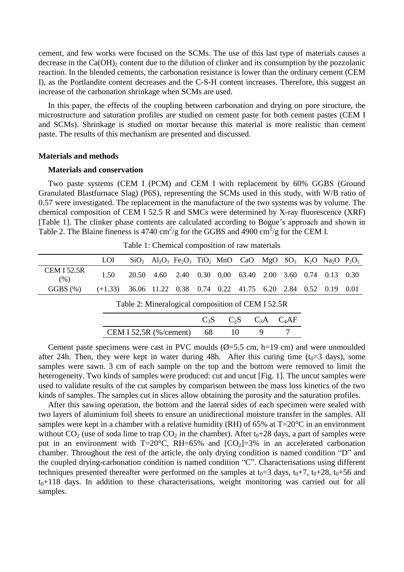cement, and few works were focused on the SCMs. The use of this last type of materials causes a decrease in the  $Ca(OH)_2$  content due to the dilution of clinker and its consumption by the pozzolanic reaction. In the blended cements, the carbonation resistance is lower than the ordinary cement (CEM I), as the Portlandite content decreases and the C-S-H content increases. Therefore, this suggest an increase of the carbonation shrinkage when SCMs are used.

In this paper, the effects of the coupling between carbonation and drying on pore structure, the microstructure and saturation profiles are studied on cement paste for both cement pastes (CEM I and SCMs). Shrinkage is studied on mortar because this material is more realistic than cement paste. The results of this mechanism are presented and discussed.

#### **Materials and methods**

#### **Materials and conservation**

Two paste systems (CEM I (PCM) and CEM I with replacement by 60% GGBS (Ground Granulated Blastfurnace Slag) (P6S), representing the SCMs used in this study, with W/B ratio of 0.57 were investigated. The replacement in the manufacture of the two systems was by volume. The chemical composition of CEM I 52.5 R and SMCs were determined by X-ray fluorescence (XRF) [Table 1]. The clinker phase contents are calculated according to Bogue's approach and shown in Table 2. The Blaine fineness is 4740 cm<sup>2</sup>/g for the GGBS and 4900 cm<sup>2</sup>/g for the CEM I.

|                            |                                                                     |  |  | $SiO2$ Al <sub>2</sub> O <sub>3</sub> Fe <sub>2</sub> O <sub>3</sub> TiO <sub>2</sub> MnO CaO MgO SO <sub>3</sub> K <sub>2</sub> O Na <sub>2</sub> O P <sub>2</sub> O <sub>5</sub> |  |  |  |
|----------------------------|---------------------------------------------------------------------|--|--|------------------------------------------------------------------------------------------------------------------------------------------------------------------------------------|--|--|--|
| <b>CEM I 52.5R</b><br>(% ) | 1.50                                                                |  |  | 20.50 4.60 2.40 0.30 0.00 63.40 2.00 3.60 0.74 0.13 0.30                                                                                                                           |  |  |  |
| GGBS(%)                    | $(+1.33)$ 36.06 11.22 0.38 0.74 0.22 41.75 6.20 2.84 0.52 0.19 0.01 |  |  |                                                                                                                                                                                    |  |  |  |

Table 1: Chemical composition of raw materials

| Table 2: Mineralogical composition of CEM I 52.5R |  |                              |  |  |  |  |  |
|---------------------------------------------------|--|------------------------------|--|--|--|--|--|
|                                                   |  | $C_3S$ $C_2S$ $C_3A$ $C_4AF$ |  |  |  |  |  |

CEM I 52,5R (%/cement) 68 10 9 7

Cement paste specimens were cast in PVC moulds  $(\emptyset = 5.5 \text{ cm}, \text{ h} = 19 \text{ cm})$  and were unmoulded after 24h. Then, they were kept in water during 48h. After this curing time  $(t_0=3$  days), some samples were sawn. 3 cm of each sample on the top and the bottom were removed to limit the heterogeneity. Two kinds of samples were produced: cut and uncut [Fig. 1]. The uncut samples were used to validate results of the cut samples by comparison between the mass loss kinetics of the two kinds of samples. The samples cut in slices allow obtaining the porosity and the saturation profiles.

After this sawing operation, the bottom and the lateral sides of each specimen were sealed with two layers of aluminium foil sheets to ensure an unidirectional moisture transfer in the samples. All samples were kept in a chamber with a relative humidity (RH) of 65% at  $T=20^{\circ}$ C in an environment without  $CO_2$  (use of soda lime to trap  $CO_2$  in the chamber). After  $t_0+28$  days, a part of samples were put in an environment with T=20 $^{\circ}$ C, RH=65% and [CO<sub>2</sub>]=3% in an accelerated carbonation chamber. Throughout the rest of the article, the only drying condition is named condition "D" and the coupled drying-carbonation condition is named condition "C". Characterisations using different techniques presented thereafter were performed on the samples at  $t_0=3$  days,  $t_0+7$ ,  $t_0+28$ ,  $t_0+56$  and  $t<sub>0</sub>+118$  days. In addition to these characterisations, weight monitoring was carried out for all samples.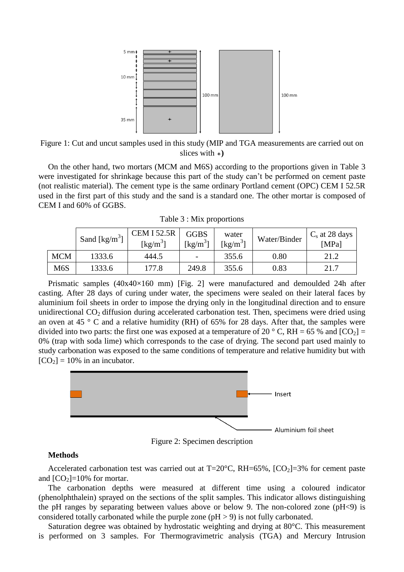

Figure 1: Cut and uncut samples used in this study (MIP and TGA measurements are carried out on slices with  $\rightarrow$ 

On the other hand, two mortars (MCM and M6S) according to the proportions given in Table 3 were investigated for shrinkage because this part of the study can't be performed on cement paste (not realistic material). The cement type is the same ordinary Portland cement (OPC) CEM I 52.5R used in the first part of this study and the sand is a standard one. The other mortar is composed of CEM I and 60% of GGBS.

|  |  |  | Table 3 : Mix proportions |
|--|--|--|---------------------------|
|--|--|--|---------------------------|

|            | Sand [ $\text{kg/m}^3$ ] | <b>CEM I 52.5R</b><br>[ $kg/m^3$ ] | <b>GGBS</b><br>[ $kg/m^3$ ] | water<br>[ $kg/m3$ | Water/Binder | $C_s$ at 28 days<br>[MPa] |
|------------|--------------------------|------------------------------------|-----------------------------|--------------------|--------------|---------------------------|
| <b>MCM</b> | 1333.6                   | 444.5                              |                             | 355.6              | 0.80         | 21.2                      |
| M6S        | 1333.6                   | 177.8                              | 249.8                       | 355.6              | 0.83         | 21.7                      |

Prismatic samples (40x40×160 mm) [Fig. 2] were manufactured and demoulded 24h after casting. After 28 days of curing under water, the specimens were sealed on their lateral faces by aluminium foil sheets in order to impose the drying only in the longitudinal direction and to ensure unidirectional  $CO<sub>2</sub>$  diffusion during accelerated carbonation test. Then, specimens were dried using an oven at 45  $\degree$  C and a relative humidity (RH) of 65% for 28 days. After that, the samples were divided into two parts: the first one was exposed at a temperature of 20  $\degree$  C, RH = 65 % and [CO<sub>2</sub>] = 0% (trap with soda lime) which corresponds to the case of drying. The second part used mainly to study carbonation was exposed to the same conditions of temperature and relative humidity but with  $[CO<sub>2</sub>] = 10\%$  in an incubator.



Figure 2: Specimen description

## **Methods**

Accelerated carbonation test was carried out at  $T=20^{\circ}$ C, RH=65%,  $[CO_2]=3\%$  for cement paste and  $[CO<sub>2</sub>]=10%$  for mortar.

The carbonation depths were measured at different time using a coloured indicator (phenolphthalein) sprayed on the sections of the split samples. This indicator allows distinguishing the pH ranges by separating between values above or below 9. The non-colored zone ( $pH < 9$ ) is considered totally carbonated while the purple zone (pH > 9) is not fully carbonated.

Saturation degree was obtained by hydrostatic weighting and drying at 80°C. This measurement is performed on 3 samples. For Thermogravimetric analysis (TGA) and Mercury Intrusion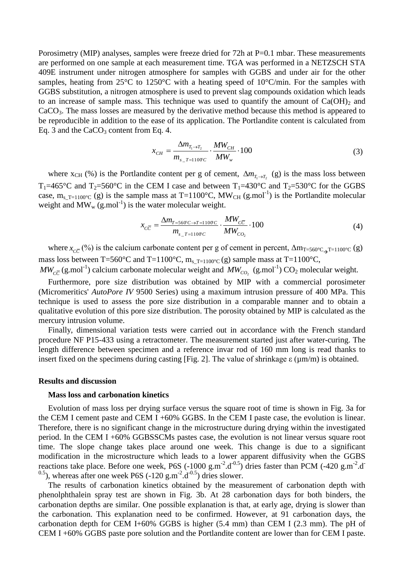Porosimetry (MIP) analyses, samples were freeze dried for 72h at P=0.1 mbar. These measurements are performed on one sample at each measurement time. TGA was performed in a NETZSCH STA 409E instrument under nitrogen atmosphere for samples with GGBS and under air for the other samples, heating from 25°C to 1250°C with a heating speed of 10°C/min. For the samples with GGBS substitution, a nitrogen atmosphere is used to prevent slag compounds oxidation which leads to an increase of sample mass. This technique was used to quantify the amount of  $Ca(OH)_2$  and CaCO3. The mass losses are measured by the derivative method because this method is appeared to be reproducible in addition to the ease of its application. The Portlandite content is calculated from Eq. 3 and the  $CaCO<sub>3</sub>$  content from Eq. 4.

$$
x_{CH} = \frac{\Delta m_{T_1 \to T_2}}{m_{s_{-}T = 1100C}} \cdot \frac{MW_{CH}}{MW_{w}} \cdot 100
$$
 (3)

where  $x_{CH}$  (%) is the Portlandite content per g of cement,  $\Delta m_{T_1 \to T_2}$  (g) is the mass loss between T<sub>1</sub>=465°C and T<sub>2</sub>=560°C in the CEM I case and between T<sub>1</sub>=430°C and T<sub>2</sub>=530°C for the GGBS case,  $m_{s_T=1100^{\circ}C}$  (g) is the sample mass at T=1100 $^{\circ}C$ , MW<sub>CH</sub> (g.mol<sup>-1</sup>) is the Portlandite molecular weight and  $MW_w(g.mol^{-1})$  is the water molecular weight.

$$
x_{c\overline{c}} = \frac{\Delta m_{T=560^{\circ}C \to T=1100^{\circ}C}}{m_{s_{T=1100^{\circ}C}}} \cdot \frac{MW_{c\overline{c}}}{MW_{cO_2}} \cdot 100
$$
 (4)

where  $x_{c\bar{c}}$  (%) is the calcium carbonate content per g of cement in percent,  $\Delta m_{T=560^{\circ}C_{\rightarrow}T=1100^{\circ}C}$  (g) mass loss between T=560°C and T=1100°C,  $m_{s_T=1100^{\circ}C}$  (g) sample mass at T=1100°C,

 $MW_{c\overline{c}}(g \text{.mol}^{-1})$  calcium carbonate molecular weight and  $MW_{cO_2} (g \text{.mol}^{-1})$  CO<sub>2</sub> molecular weight.

Furthermore, pore size distribution was obtained by MIP with a commercial porosimeter (Micromeritics' *AutoPore IV* 9500 Series) using a maximum intrusion pressure of 400 MPa. This technique is used to assess the pore size distribution in a comparable manner and to obtain a qualitative evolution of this pore size distribution. The porosity obtained by MIP is calculated as the mercury intrusion volume.

Finally, dimensional variation tests were carried out in accordance with the French standard procedure NF P15-433 using a retractometer. The measurement started just after water-curing. The length difference between specimen and a reference invar rod of 160 mm long is read thanks to insert fixed on the specimens during casting [Fig. 2]. The value of shrinkage  $\varepsilon$  ( $\mu$ m/m) is obtained.

#### **Results and discussion**

## **Mass loss and carbonation kinetics**

Evolution of mass loss per drying surface versus the square root of time is shown in Fig. 3a for the CEM I cement paste and CEM I +60% GGBS. In the CEM I paste case, the evolution is linear. Therefore, there is no significant change in the microstructure during drying within the investigated period. In the CEM I +60% GGBSSCMs pastes case, the evolution is not linear versus square root time. The slope change takes place around one week. This change is due to a significant modification in the microstructure which leads to a lower apparent diffusivity when the GGBS reactions take place. Before one week, P6S  $(-1000 \text{ g.m}^2 \cdot \text{d}^{-0.5})$  dries faster than PCM  $(-420 \text{ g.m}^2 \cdot \text{d}^{-1})$ <sup>0.5</sup>), whereas after one week P6S  $(-120 \text{ g.m}^{-2} \text{.d}^{-0.5})$  dries slower.

The results of carbonation kinetics obtained by the measurement of carbonation depth with phenolphthalein spray test are shown in Fig. 3b. At 28 carbonation days for both binders, the carbonation depths are similar. One possible explanation is that, at early age, drying is slower than the carbonation. This explanation need to be confirmed. However, at 91 carbonation days, the carbonation depth for CEM I+60% GGBS is higher (5.4 mm) than CEM I (2.3 mm). The pH of CEM I +60% GGBS paste pore solution and the Portlandite content are lower than for CEM I paste.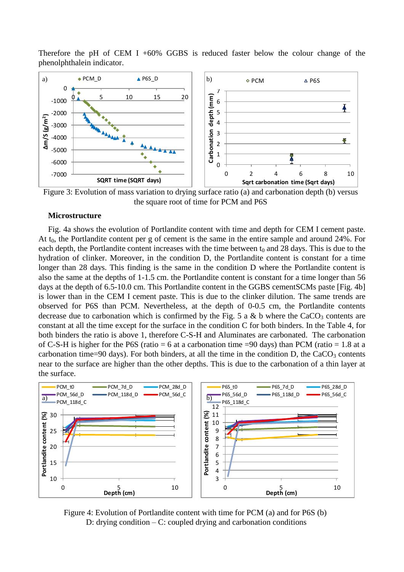Therefore the pH of CEM I +60% GGBS is reduced faster below the colour change of the phenolphthalein indicator.



Figure 3: Evolution of mass variation to drying surface ratio (a) and carbonation depth (b) versus the square root of time for PCM and P6S

## **Microstructure**

Fig. 4a shows the evolution of Portlandite content with time and depth for CEM I cement paste. At  $t_0$ , the Portlandite content per g of cement is the same in the entire sample and around 24%. For each depth, the Portlandite content increases with the time between  $t_0$  and 28 days. This is due to the hydration of clinker. Moreover, in the condition D, the Portlandite content is constant for a time longer than 28 days. This finding is the same in the condition D where the Portlandite content is also the same at the depths of 1-1.5 cm. the Portlandite content is constant for a time longer than 56 days at the depth of 6.5-10.0 cm. This Portlandite content in the GGBS cementSCMs paste [Fig. 4b] is lower than in the CEM I cement paste. This is due to the clinker dilution. The same trends are observed for P6S than PCM. Nevertheless, at the depth of 0-0.5 cm, the Portlandite contents decrease due to carbonation which is confirmed by the Fig. 5 a & b where the  $CaCO<sub>3</sub>$  contents are constant at all the time except for the surface in the condition C for both binders. In the [Table 4,](#page-5-0) for both binders the ratio is above 1, therefore C-S-H and Aluminates are carbonated. The carbonation of C-S-H is higher for the P6S (ratio  $= 6$  at a carbonation time  $= 90$  days) than PCM (ratio  $= 1.8$  at a carbonation time=90 days). For both binders, at all the time in the condition D, the  $CaCO<sub>3</sub>$  contents near to the surface are higher than the other depths. This is due to the carbonation of a thin layer at the surface.



Figure 4: Evolution of Portlandite content with time for PCM (a) and for P6S (b) D: drying condition – C: coupled drying and carbonation conditions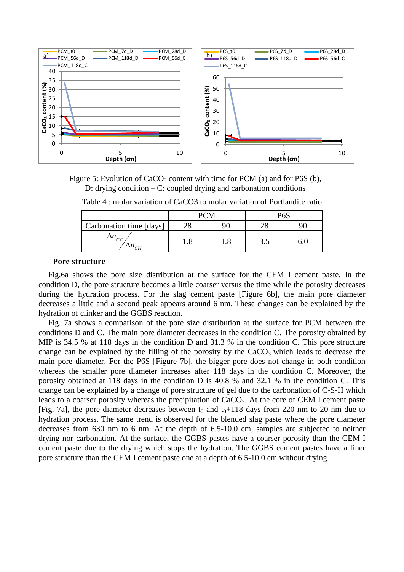

<span id="page-5-0"></span>Figure 5: Evolution of  $CaCO<sub>3</sub>$  content with time for PCM (a) and for P6S (b), D: drying condition  $-C$ : coupled drying and carbonation conditions

|                         |     |     | $D\mathcal{L}^{\mathcal{C}}$ |  |  |
|-------------------------|-----|-----|------------------------------|--|--|
| Carbonation time [days] |     |     |                              |  |  |
| $\mathbf{u}_{CH}$       | 1.0 | 1.0 | 3.5                          |  |  |

Table 4 : molar variation of CaCO3 to molar variation of Portlandite ratio

#### **Pore structure**

Fig.6a shows the pore size distribution at the surface for the CEM I cement paste. In the condition D, the pore structure becomes a little coarser versus the time while the porosity decreases during the hydration process. For the slag cement paste [\[Figure 6b](#page-6-0)], the main pore diameter decreases a little and a second peak appears around 6 nm. These changes can be explained by the hydration of clinker and the GGBS reaction.

Fig. 7a shows a comparison of the pore size distribution at the surface for PCM between the conditions D and C. The main pore diameter decreases in the condition C. The porosity obtained by MIP is 34.5 % at 118 days in the condition D and 31.3 % in the condition C. This pore structure change can be explained by the filling of the porosity by the  $CaCO<sub>3</sub>$  which leads to decrease the main pore diameter. For the P6S [\[Figure 7b](#page-6-1)], the bigger pore does not change in both condition whereas the smaller pore diameter increases after 118 days in the condition C. Moreover, the porosity obtained at 118 days in the condition D is 40.8 % and 32.1 % in the condition C. This change can be explained by a change of pore structure of gel due to the carbonation of C-S-H which leads to a coarser porosity whereas the precipitation of CaCO<sub>3</sub>. At the core of CEM I cement paste [Fig. 7a], the pore diameter decreases between  $t_0$  and  $t_0+118$  days from 220 nm to 20 nm due to hydration process. The same trend is observed for the blended slag paste where the pore diameter decreases from 630 nm to 6 nm. At the depth of 6.5-10.0 cm, samples are subjected to neither drying nor carbonation. At the surface, the GGBS pastes have a coarser porosity than the CEM I cement paste due to the drying which stops the hydration. The GGBS cement pastes have a finer pore structure than the CEM I cement paste one at a depth of 6.5-10.0 cm without drying.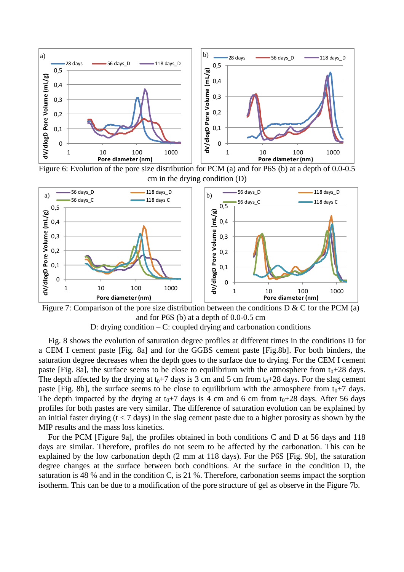

<span id="page-6-0"></span>Figure 6: Evolution of the pore size distribution for PCM (a) and for P6S (b) at a depth of 0.0-0.5 cm in the drying condition (D)



<span id="page-6-1"></span>Figure 7: Comparison of the pore size distribution between the conditions  $D & C$  for the PCM (a) and for P6S (b) at a depth of 0.0-0.5 cm D: drying condition  $-C$ : coupled drying and carbonation conditions

Fig. 8 shows the evolution of saturation degree profiles at different times in the conditions D for a CEM I cement paste [Fig. 8a] and for the GGBS cement paste [Fig.8b]. For both binders, the saturation degree decreases when the depth goes to the surface due to drying. For the CEM I cement paste [Fig. 8a], the surface seems to be close to equilibrium with the atmosphere from  $t_0+28$  days. The depth affected by the drying at  $t_0+7$  days is 3 cm and 5 cm from  $t_0+28$  days. For the slag cement paste [Fig. 8b], the surface seems to be close to equilibrium with the atmosphere from  $t_0+7$  days. The depth impacted by the drying at  $t_0+7$  days is 4 cm and 6 cm from  $t_0+28$  days. After 56 days profiles for both pastes are very similar. The difference of saturation evolution can be explained by an initial faster drying  $(t < 7$  days) in the slag cement paste due to a higher porosity as shown by the MIP results and the mass loss kinetics.

For the PCM [\[Figure 9a](#page-7-0)], the profiles obtained in both conditions C and D at 56 days and 118 days are similar. Therefore, profiles do not seem to be affected by the carbonation. This can be explained by the low carbonation depth (2 mm at 118 days). For the P6S [Fig. 9b], the saturation degree changes at the surface between both conditions. At the surface in the condition D, the saturation is 48 % and in the condition C, is 21 %. Therefore, carbonation seems impact the sorption isotherm. This can be due to a modification of the pore structure of gel as observe in the [Figure 7b](#page-6-1).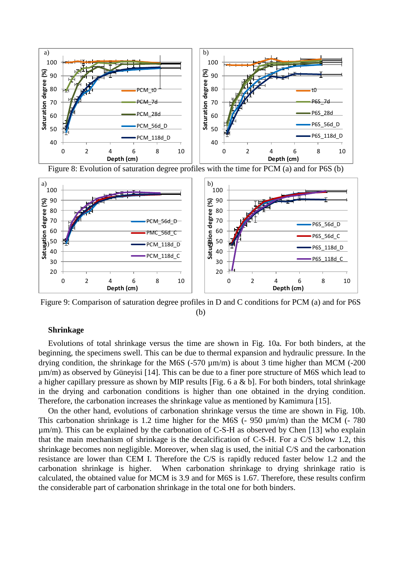





<span id="page-7-0"></span>Figure 9: Comparison of saturation degree profiles in D and C conditions for PCM (a) and for P6S (b)

# **Shrinkage**

Evolutions of total shrinkage versus the time are shown in Fig. 10a. For both binders, at the beginning, the specimens swell. This can be due to thermal expansion and hydraulic pressure. In the drying condition, the shrinkage for the M6S (-570  $\mu$ m/m) is about 3 time higher than MCM (-200 µm/m) as observed by Güneyisi [14]. This can be due to a finer pore structure of M6S which lead to a higher capillary pressure as shown by MIP results [Fig. 6 a & b]. For both binders, total shrinkage in the drying and carbonation conditions is higher than one obtained in the drying condition. Therefore, the carbonation increases the shrinkage value as mentioned by Kamimura [15].

On the other hand, evolutions of carbonation shrinkage versus the time are shown in Fig. 10b. This carbonation shrinkage is 1.2 time higher for the M6S (- 950  $\mu$ m/m) than the MCM (- 780  $\mu$ m/m). This can be explained by the carbonation of C-S-H as observed by Chen [13] who explain that the main mechanism of shrinkage is the decalcification of C-S-H. For a C/S below 1.2, this shrinkage becomes non negligible. Moreover, when slag is used, the initial C/S and the carbonation resistance are lower than CEM I. Therefore the C/S is rapidly reduced faster below 1.2 and the carbonation shrinkage is higher. When carbonation shrinkage to drying shrinkage ratio is calculated, the obtained value for MCM is 3.9 and for M6S is 1.67. Therefore, these results confirm the considerable part of carbonation shrinkage in the total one for both binders.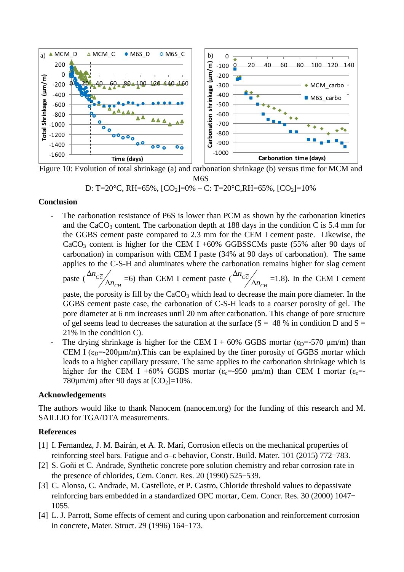

Figure 10: Evolution of total shrinkage (a) and carbonation shrinkage (b) versus time for MCM and M6S

D: T=20°C, RH=65%, [CO2]=0% – C: T=20°C,RH=65%, [CO2]=10%

## **Conclusion**

The carbonation resistance of P6S is lower than PCM as shown by the carbonation kinetics and the CaCO<sub>3</sub> content. The carbonation depth at 188 days in the condition C is 5.4 mm for the GGBS cement paste compared to 2.3 mm for the CEM I cement paste. Likewise, the  $CaCO<sub>3</sub>$  content is higher for the CEM I +60% GGBSSCMs paste (55% after 90 days of carbonation) in comparison with CEM I paste (34% at 90 days of carbonation). The same applies to the C-S-H and aluminates where the carbonation remains higher for slag cement paste ( *CH CC n n*  $\Delta$  $\Delta n_{c\bar{c}}/_{\Delta n}$  =6) than CEM I cement paste ( *CH CC n n*  $\Delta$  $\Delta n_{c\bar{c}}/$  =1.8). In the CEM I cement

paste, the porosity is fill by the  $CaCO<sub>3</sub>$  which lead to decrease the main pore diameter. In the GGBS cement paste case, the carbonation of C-S-H leads to a coarser porosity of gel. The pore diameter at 6 nm increases until 20 nm after carbonation. This change of pore structure of gel seems lead to decreases the saturation at the surface ( $S = 48\%$  in condition D and  $S =$ 21% in the condition C).

The drying shrinkage is higher for the CEM I + 60% GGBS mortar ( $\varepsilon_D$ =-570 µm/m) than CEM I  $(\epsilon_{D} = -200 \mu m/m)$ . This can be explained by the finer porosity of GGBS mortar which leads to a higher capillary pressure. The same applies to the carbonation shrinkage which is higher for the CEM I +60% GGBS mortar ( $\varepsilon_c$ =-950 µm/m) than CEM I mortar ( $\varepsilon_c$ =-780 $\mu$ m/m) after 90 days at  $[CO_2]$ =10%.

## **Acknowledgements**

The authors would like to thank Nanocem (nanocem.org) for the funding of this research and M. SAILLIO for TGA/DTA measurements.

# **References**

- [1] I. Fernandez, J. M. Bairán, et A. R. Marí, Corrosion effects on the mechanical properties of reinforcing steel bars. Fatigue and σ–ε behavior, Constr. Build. Mater. 101 (2015) 772-783.
- [2] S. Goñi et C. Andrade, Synthetic concrete pore solution chemistry and rebar corrosion rate in the presence of chlorides, Cem. Concr. Res. 20 (1990) 525-539.
- [3] C. Alonso, C. Andrade, M. Castellote, et P. Castro, Chloride threshold values to depassivate reinforcing bars embedded in a standardized OPC mortar, Cem. Concr. Res. 30 (2000) 1047- 1055.
- [4] L. J. Parrott, Some effects of cement and curing upon carbonation and reinforcement corrosion in concrete, Mater. Struct. 29 (1996) 164-173.